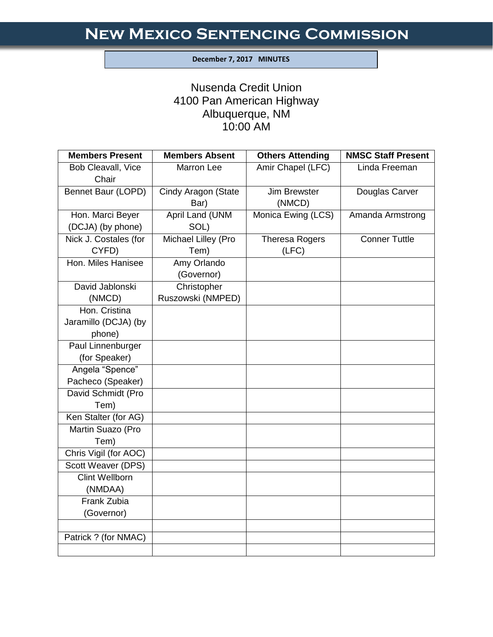#### **December 7, 2017 MINUTES**

I

# Nusenda Credit Union 4100 Pan American Highway Albuquerque, NM 10:00 AM

| <b>Members Present</b>    | <b>Members Absent</b>      | <b>Others Attending</b> | <b>NMSC Staff Present</b> |
|---------------------------|----------------------------|-------------------------|---------------------------|
| <b>Bob Cleavall, Vice</b> | <b>Marron Lee</b>          | Amir Chapel (LFC)       | Linda Freeman             |
| Chair                     |                            |                         |                           |
| Bennet Baur (LOPD)        | <b>Cindy Aragon (State</b> | <b>Jim Brewster</b>     | Douglas Carver            |
|                           | Bar)                       | (NMCD)                  |                           |
| Hon. Marci Beyer          | April Land (UNM            | Monica Ewing (LCS)      | Amanda Armstrong          |
| (DCJA) (by phone)         | SOL)                       |                         |                           |
| Nick J. Costales (for     | Michael Lilley (Pro        | <b>Theresa Rogers</b>   | <b>Conner Tuttle</b>      |
| CYFD)                     | Tem)                       | (LEC)                   |                           |
| Hon. Miles Hanisee        | Amy Orlando                |                         |                           |
|                           | (Governor)                 |                         |                           |
| David Jablonski           | Christopher                |                         |                           |
| (NMCD)                    | Ruszowski (NMPED)          |                         |                           |
| Hon. Cristina             |                            |                         |                           |
| Jaramillo (DCJA) (by      |                            |                         |                           |
| phone)                    |                            |                         |                           |
| Paul Linnenburger         |                            |                         |                           |
| (for Speaker)             |                            |                         |                           |
| Angela "Spence"           |                            |                         |                           |
| Pacheco (Speaker)         |                            |                         |                           |
| David Schmidt (Pro        |                            |                         |                           |
| Tem)                      |                            |                         |                           |
| Ken Stalter (for AG)      |                            |                         |                           |
| Martin Suazo (Pro         |                            |                         |                           |
| Tem)                      |                            |                         |                           |
| Chris Vigil (for AOC)     |                            |                         |                           |
| <b>Scott Weaver (DPS)</b> |                            |                         |                           |
| <b>Clint Wellborn</b>     |                            |                         |                           |
| (NMDAA)                   |                            |                         |                           |
| <b>Frank Zubia</b>        |                            |                         |                           |
| (Governor)                |                            |                         |                           |
|                           |                            |                         |                           |
| Patrick ? (for NMAC)      |                            |                         |                           |
|                           |                            |                         |                           |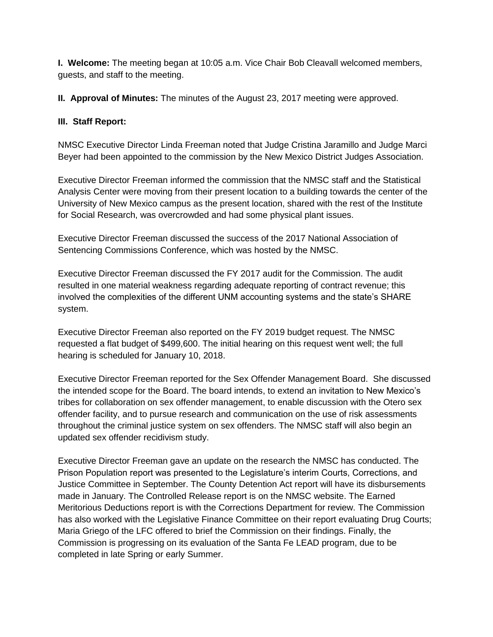**I. Welcome:** The meeting began at 10:05 a.m. Vice Chair Bob Cleavall welcomed members, guests, and staff to the meeting.

**II. Approval of Minutes:** The minutes of the August 23, 2017 meeting were approved.

#### **III. Staff Report:**

NMSC Executive Director Linda Freeman noted that Judge Cristina Jaramillo and Judge Marci Beyer had been appointed to the commission by the New Mexico District Judges Association.

Executive Director Freeman informed the commission that the NMSC staff and the Statistical Analysis Center were moving from their present location to a building towards the center of the University of New Mexico campus as the present location, shared with the rest of the Institute for Social Research, was overcrowded and had some physical plant issues.

Executive Director Freeman discussed the success of the 2017 National Association of Sentencing Commissions Conference, which was hosted by the NMSC.

Executive Director Freeman discussed the FY 2017 audit for the Commission. The audit resulted in one material weakness regarding adequate reporting of contract revenue; this involved the complexities of the different UNM accounting systems and the state's SHARE system.

Executive Director Freeman also reported on the FY 2019 budget request. The NMSC requested a flat budget of \$499,600. The initial hearing on this request went well; the full hearing is scheduled for January 10, 2018.

Executive Director Freeman reported for the Sex Offender Management Board. She discussed the intended scope for the Board. The board intends, to extend an invitation to New Mexico's tribes for collaboration on sex offender management, to enable discussion with the Otero sex offender facility, and to pursue research and communication on the use of risk assessments throughout the criminal justice system on sex offenders. The NMSC staff will also begin an updated sex offender recidivism study.

Executive Director Freeman gave an update on the research the NMSC has conducted. The Prison Population report was presented to the Legislature's interim Courts, Corrections, and Justice Committee in September. The County Detention Act report will have its disbursements made in January. The Controlled Release report is on the NMSC website. The Earned Meritorious Deductions report is with the Corrections Department for review. The Commission has also worked with the Legislative Finance Committee on their report evaluating Drug Courts; Maria Griego of the LFC offered to brief the Commission on their findings. Finally, the Commission is progressing on its evaluation of the Santa Fe LEAD program, due to be completed in late Spring or early Summer.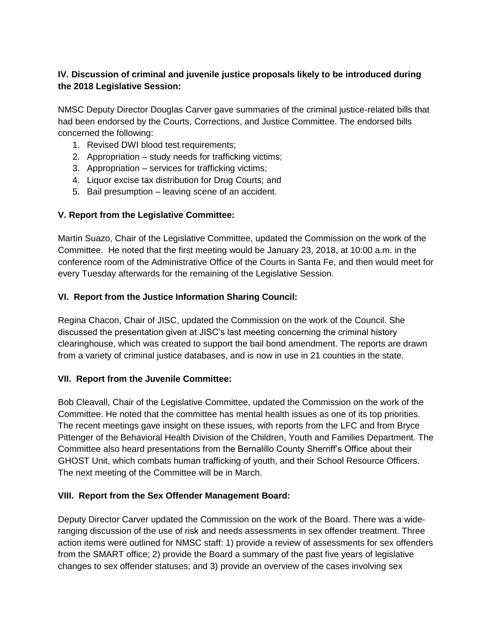# **IV. Discussion of criminal and juvenile justice proposals likely to be introduced during the 2018 Legislative Session:**

NMSC Deputy Director Douglas Carver gave summaries of the criminal justice-related bills that had been endorsed by the Courts, Corrections, and Justice Committee. The endorsed bills concerned the following:

- 1. Revised DWI blood test requirements;
- 2. Appropriation study needs for trafficking victims;
- 3. Appropriation services for trafficking victims;
- 4. Liquor excise tax distribution for Drug Courts; and
- 5. Bail presumption leaving scene of an accident.

### **V. Report from the Legislative Committee:**

Martin Suazo, Chair of the Legislative Committee, updated the Commission on the work of the Committee. He noted that the first meeting would be January 23, 2018, at 10:00 a.m. in the conference room of the Administrative Office of the Courts in Santa Fe, and then would meet for every Tuesday afterwards for the remaining of the Legislative Session.

# **VI. Report from the Justice Information Sharing Council:**

Regina Chacon, Chair of JISC, updated the Commission on the work of the Council. She discussed the presentation given at JISC's last meeting concerning the criminal history clearinghouse, which was created to support the bail bond amendment. The reports are drawn from a variety of criminal justice databases, and is now in use in 21 counties in the state.

### **VII. Report from the Juvenile Committee:**

Bob Cleavall, Chair of the Legislative Committee, updated the Commission on the work of the Committee. He noted that the committee has mental health issues as one of its top priorities. The recent meetings gave insight on these issues, with reports from the LFC and from Bryce Pittenger of the Behavioral Health Division of the Children, Youth and Families Department. The Committee also heard presentations from the Bernalillo County Sherriff's Office about their GHOST Unit, which combats human trafficking of youth, and their School Resource Officers. The next meeting of the Committee will be in March.

### **VIII. Report from the Sex Offender Management Board:**

Deputy Director Carver updated the Commission on the work of the Board. There was a wideranging discussion of the use of risk and needs assessments in sex offender treatment. Three action items were outlined for NMSC staff: 1) provide a review of assessments for sex offenders from the SMART office; 2) provide the Board a summary of the past five years of legislative changes to sex offender statuses; and 3) provide an overview of the cases involving sex